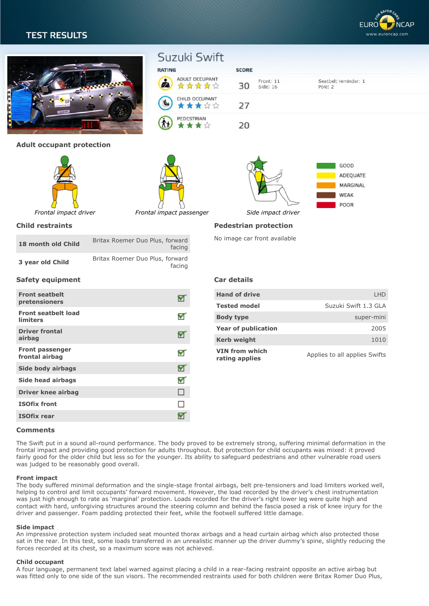# **TEST RESULTS**





| umiters                                  |  |
|------------------------------------------|--|
| <b>Driver frontal</b><br>airbag          |  |
| <b>Front passenger</b><br>frontal airbag |  |
| Side body airbags                        |  |
| Side head airbags                        |  |
| <b>Driver knee airbag</b>                |  |
| <b>ISOfix front</b>                      |  |
| <b>ISOfix rear</b>                       |  |

| <b>Hand of drive</b>             | I HD                          |
|----------------------------------|-------------------------------|
| <b>Tested model</b>              | Suzuki Swift 1.3 GLA          |
| <b>Body type</b>                 | super-mini                    |
| <b>Year of publication</b>       | 2005                          |
| <b>Kerb weight</b>               | 1010                          |
| VIN from which<br>rating applies | Applies to all applies Swifts |

## **Comments**

The Swift put in a sound all-round performance. The body proved to be extremely strong, suffering minimal deformation in the frontal impact and providing good protection for adults throughout. But protection for child occupants was mixed: it proved fairly good for the older child but less so for the younger. Its ability to safeguard pedestrians and other vulnerable road users was judged to be reasonably good overall.

#### **Front impact**

The body suffered minimal deformation and the single-stage frontal airbags, belt pre-tensioners and load limiters worked well, helping to control and limit occupants' forward movement. However, the load recorded by the driver's chest instrumentation was just high enough to rate as 'marginal' protection. Loads recorded for the driver's right lower leg were quite high and contact with hard, unforgiving structures around the steering column and behind the fascia posed a risk of knee injury for the driver and passenger. Foam padding protected their feet, while the footwell suffered little damage.

#### **Side impact**

An impressive protection system included seat mounted thorax airbags and a head curtain airbag which also protected those sat in the rear. In this test, some loads transferred in an unrealistic manner up the driver dummy's spine, slightly reducing the forces recorded at its chest, so a maximum score was not achieved.

#### **Child occupant**

A four language, permanent text label warned against placing a child in a rear-facing restraint opposite an active airbag but was fitted only to one side of the sun visors. The recommended restraints used for both children were Britax Romer Duo Plus,